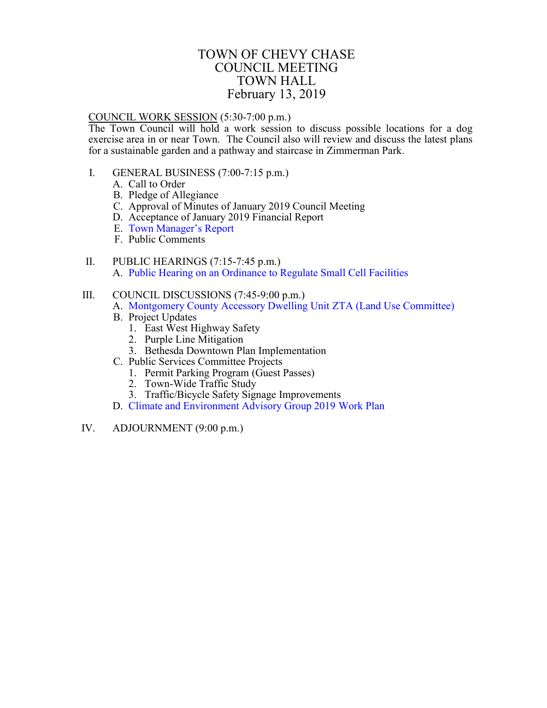### TOWN OF CHEVY CHASE COUNCIL MEETING TOWN HALL February 13, 2019

#### <span id="page-0-0"></span>COUNCIL WORK SESSION (5:30-7:00 p.m.)

The Town Council will hold a work session to discuss possible locations for a dog exercise area in or near Town. The Council also will review and discuss the latest plans for a sustainable garden and a pathway and staircase in Zimmerman Park.

- I. GENERAL BUSINESS (7:00-7:15 p.m.)
	- A. Call to Order
	- B. Pledge of Allegiance
	- C. Approval of Minutes of January 2019 Council Meeting
	- D. Acceptance of January 2019 Financial Report
	- E. [Town Manager's Report](#page-1-0)
	- F. Public Comments
- II. PUBLIC HEARINGS (7:15-7:45 p.m.) A. Pu[blic Hearing on an Ordinance to](#page-2-0) Regulate Small Cell Facilities

#### III. COUNCIL DISCUSSIONS (7:45-9:00 p.m.)

- A. [Montgomery County Accessory](#page-10-0) Dwelling Unit ZTA (Land Use Committee)
	- B. Project Updates
		- 1. East West Highway Safety
		- 2. Purple Line Mitigation
		- 3. Bethesda Downtown Plan Implementation
	- C. Public Services Committee Projects
		- 1. Permit Parking Program (Guest Passes)
		- 2. Town-Wide Traffic Study
		- 3. Traffic/Bicycle Safety Signage Improvements
	- D. [Climate and Environment Advisory Group 2019 Work Plan](#page-18-0)
- IV. ADJOURNMENT (9:00 p.m.)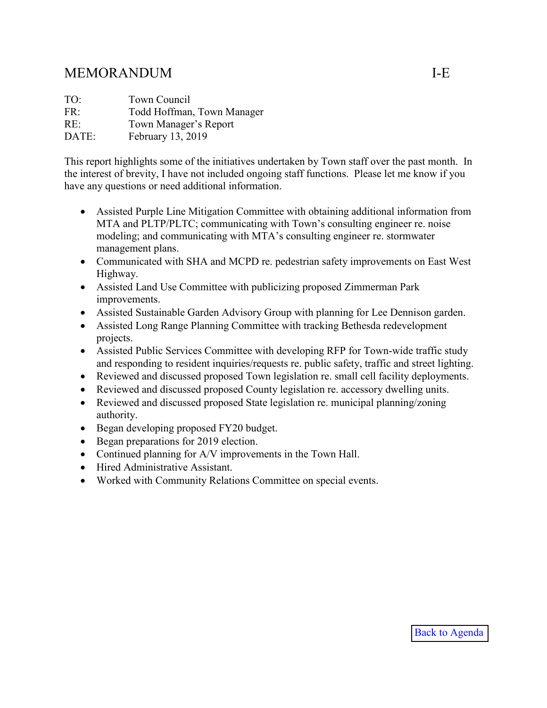# <span id="page-1-0"></span>MEMORANDUM I-E

| TO:   | Town Council               |
|-------|----------------------------|
| FR:   | Todd Hoffman, Town Manager |
| RE:   | Town Manager's Report      |
| DATE: | February 13, 2019          |

This report highlights some of the initiatives undertaken by Town staff over the past month. In the interest of brevity, I have not included ongoing staff functions. Please let me know if you have any questions or need additional information.

- Assisted Purple Line Mitigation Committee with obtaining additional information from MTA and PLTP/PLTC; communicating with Town's consulting engineer re. noise modeling; and communicating with MTA's consulting engineer re. stormwater management plans.
- Communicated with SHA and MCPD re. pedestrian safety improvements on East West Highway.
- Assisted Land Use Committee with publicizing proposed Zimmerman Park improvements.
- Assisted Sustainable Garden Advisory Group with planning for Lee Dennison garden.
- Assisted Long Range Planning Committee with tracking Bethesda redevelopment projects.
- Assisted Public Services Committee with developing RFP for Town-wide traffic study and responding to resident inquiries/requests re. public safety, traffic and street lighting.
- Reviewed and discussed proposed Town legislation re. small cell facility deployments.
- Reviewed and discussed proposed County legislation re. accessory dwelling units.
- Reviewed and discussed proposed State legislation re. municipal planning/zoning authority.
- Began developing proposed FY20 budget.
- Began preparations for 2019 election.
- Continued planning for A/V improvements in the Town Hall.
- Hired Administrative Assistant.
- Worked with Community Relations Committee on special events.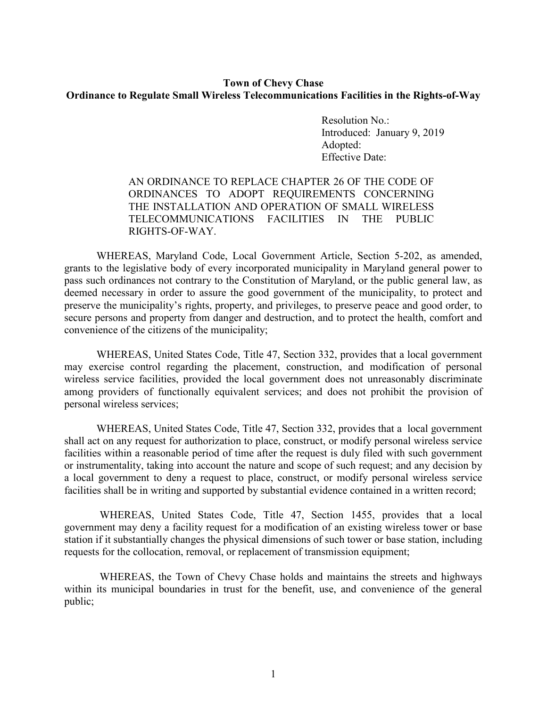#### <span id="page-2-0"></span>**Town of Chevy Chase Ordinance to Regulate Small Wireless Telecommunications Facilities in the Rights-of-Way**

Resolution No.: Introduced: January 9, 2019 Adopted: Effective Date:

#### AN ORDINANCE TO REPLACE CHAPTER 26 OF THE CODE OF ORDINANCES TO ADOPT REQUIREMENTS CONCERNING THE INSTALLATION AND OPERATION OF SMALL WIRELESS TELECOMMUNICATIONS FACILITIES IN THE PUBLIC RIGHTS-OF-WAY.

WHEREAS, Maryland Code, Local Government Article, Section 5-202, as amended, grants to the legislative body of every incorporated municipality in Maryland general power to pass such ordinances not contrary to the Constitution of Maryland, or the public general law, as deemed necessary in order to assure the good government of the municipality, to protect and preserve the municipality's rights, property, and privileges, to preserve peace and good order, to secure persons and property from danger and destruction, and to protect the health, comfort and convenience of the citizens of the municipality;

WHEREAS, United States Code, Title 47, Section 332, provides that a local government may exercise control regarding the placement, construction, and modification of personal wireless service facilities, provided the local government does not unreasonably discriminate among providers of functionally equivalent services; and does not prohibit the provision of personal wireless services;

WHEREAS, United States Code, Title 47, Section 332, provides that a local government shall act on any request for authorization to place, construct, or modify personal wireless service facilities within a reasonable period of time after the request is duly filed with such government or instrumentality, taking into account the nature and scope of such request; and any decision by a local government to deny a request to place, construct, or modify personal wireless service facilities shall be in writing and supported by substantial evidence contained in a written record;

WHEREAS, United States Code, Title 47, Section 1455, provides that a local government may deny a facility request for a modification of an existing wireless tower or base station if it substantially changes the physical dimensions of such tower or base station, including requests for the collocation, removal, or replacement of transmission equipment;

WHEREAS, the Town of Chevy Chase holds and maintains the streets and highways within its municipal boundaries in trust for the benefit, use, and convenience of the general public;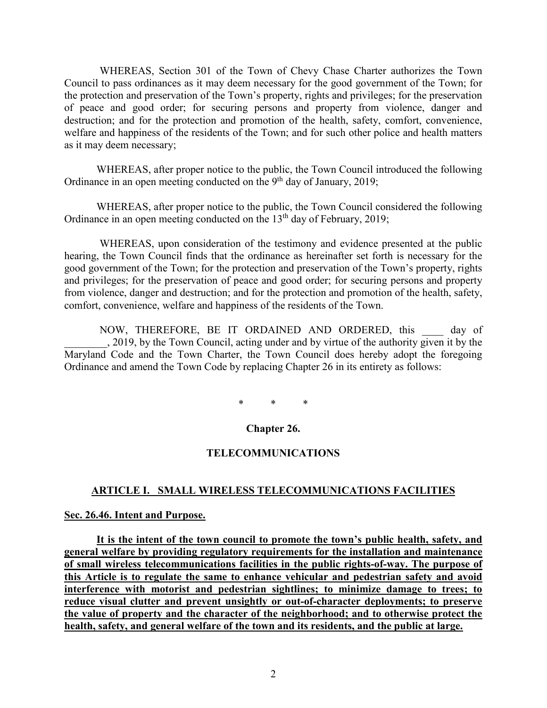WHEREAS, Section 301 of the Town of Chevy Chase Charter authorizes the Town Council to pass ordinances as it may deem necessary for the good government of the Town; for the protection and preservation of the Town's property, rights and privileges; for the preservation of peace and good order; for securing persons and property from violence, danger and destruction; and for the protection and promotion of the health, safety, comfort, convenience, welfare and happiness of the residents of the Town; and for such other police and health matters as it may deem necessary;

WHEREAS, after proper notice to the public, the Town Council introduced the following Ordinance in an open meeting conducted on the 9<sup>th</sup> day of January, 2019;

WHEREAS, after proper notice to the public, the Town Council considered the following Ordinance in an open meeting conducted on the  $13<sup>th</sup>$  day of February, 2019;

WHEREAS, upon consideration of the testimony and evidence presented at the public hearing, the Town Council finds that the ordinance as hereinafter set forth is necessary for the good government of the Town; for the protection and preservation of the Town's property, rights and privileges; for the preservation of peace and good order; for securing persons and property from violence, danger and destruction; and for the protection and promotion of the health, safety, comfort, convenience, welfare and happiness of the residents of the Town.

NOW, THEREFORE, BE IT ORDAINED AND ORDERED, this day of \_\_\_\_\_\_\_\_, 2019, by the Town Council, acting under and by virtue of the authority given it by the Maryland Code and the Town Charter, the Town Council does hereby adopt the foregoing Ordinance and amend the Town Code by replacing Chapter 26 in its entirety as follows:

\* \* \*

#### **Chapter 26.**

#### **TELECOMMUNICATIONS**

#### **ARTICLE I. SMALL WIRELESS TELECOMMUNICATIONS FACILITIES**

#### **Sec. 26.46. Intent and Purpose.**

**It is the intent of the town council to promote the town's public health, safety, and general welfare by providing regulatory requirements for the installation and maintenance of small wireless telecommunications facilities in the public rights-of-way. The purpose of this Article is to regulate the same to enhance vehicular and pedestrian safety and avoid interference with motorist and pedestrian sightlines; to minimize damage to trees; to reduce visual clutter and prevent unsightly or out-of-character deployments; to preserve the value of property and the character of the neighborhood; and to otherwise protect the health, safety, and general welfare of the town and its residents, and the public at large.**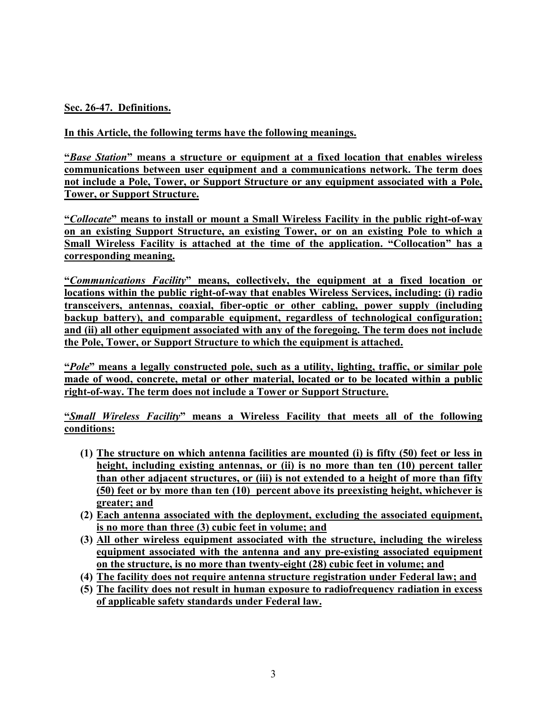**Sec. 26-47. Definitions.**

**In this Article, the following terms have the following meanings.** 

**"***Base Station***" means a structure or equipment at a fixed location that enables wireless communications between user equipment and a communications network. The term does not include a Pole, Tower, or Support Structure or any equipment associated with a Pole, Tower, or Support Structure.** 

**"***Collocate***" means to install or mount a Small Wireless Facility in the public right-of-way on an existing Support Structure, an existing Tower, or on an existing Pole to which a Small Wireless Facility is attached at the time of the application. "Collocation" has a corresponding meaning.**

**"***Communications Facility***" means, collectively, the equipment at a fixed location or locations within the public right-of-way that enables Wireless Services, including: (i) radio transceivers, antennas, coaxial, fiber-optic or other cabling, power supply (including backup battery), and comparable equipment, regardless of technological configuration; and (ii) all other equipment associated with any of the foregoing. The term does not include the Pole, Tower, or Support Structure to which the equipment is attached.**

**"***Pole***" means a legally constructed pole, such as a utility, lighting, traffic, or similar pole made of wood, concrete, metal or other material, located or to be located within a public right-of-way. The term does not include a Tower or Support Structure.**

**"***Small Wireless Facility***" means a Wireless Facility that meets all of the following conditions:** 

- **(1) The structure on which antenna facilities are mounted (i) is fifty (50) feet or less in height, including existing antennas, or (ii) is no more than ten (10) percent taller than other adjacent structures, or (iii) is not extended to a height of more than fifty (50) feet or by more than ten (10) percent above its preexisting height, whichever is greater; and**
- **(2) Each antenna associated with the deployment, excluding the associated equipment, is no more than three (3) cubic feet in volume; and**
- **(3) All other wireless equipment associated with the structure, including the wireless equipment associated with the antenna and any pre-existing associated equipment on the structure, is no more than twenty-eight (28) cubic feet in volume; and**
- **(4) The facility does not require antenna structure registration under Federal law; and**
- **(5) The facility does not result in human exposure to radiofrequency radiation in excess of applicable safety standards under Federal law.**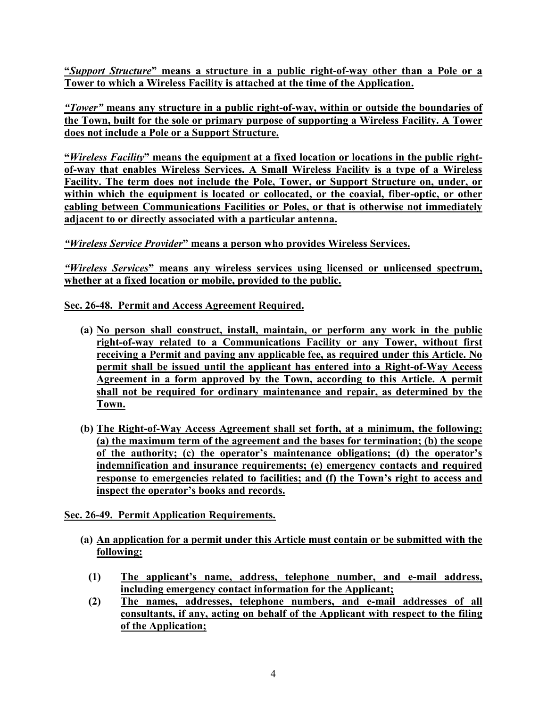**"***Support Structure***" means a structure in a public right-of-way other than a Pole or a Tower to which a Wireless Facility is attached at the time of the Application.** 

*"Tower"* **means any structure in a public right-of-way, within or outside the boundaries of the Town, built for the sole or primary purpose of supporting a Wireless Facility. A Tower does not include a Pole or a Support Structure.** 

**"***Wireless Facility***" means the equipment at a fixed location or locations in the public rightof-way that enables Wireless Services. A Small Wireless Facility is a type of a Wireless Facility. The term does not include the Pole, Tower, or Support Structure on, under, or within which the equipment is located or collocated, or the coaxial, fiber-optic, or other cabling between Communications Facilities or Poles, or that is otherwise not immediately adjacent to or directly associated with a particular antenna.**

#### *"Wireless Service Provider***" means a person who provides Wireless Services.**

*"Wireless Services***" means any wireless services using licensed or unlicensed spectrum, whether at a fixed location or mobile, provided to the public.** 

**Sec. 26-48. Permit and Access Agreement Required.**

- **(a) No person shall construct, install, maintain, or perform any work in the public right-of-way related to a Communications Facility or any Tower, without first receiving a Permit and paying any applicable fee, as required under this Article. No permit shall be issued until the applicant has entered into a Right-of-Way Access Agreement in a form approved by the Town, according to this Article. A permit shall not be required for ordinary maintenance and repair, as determined by the Town.**
- **(b) The Right-of-Way Access Agreement shall set forth, at a minimum, the following: (a) the maximum term of the agreement and the bases for termination; (b) the scope of the authority; (c) the operator's maintenance obligations; (d) the operator's indemnification and insurance requirements; (e) emergency contacts and required response to emergencies related to facilities; and (f) the Town's right to access and inspect the operator's books and records.**

**Sec. 26-49. Permit Application Requirements.**

- **(a) An application for a permit under this Article must contain or be submitted with the following:** 
	- **(1) The applicant's name, address, telephone number, and e-mail address, including emergency contact information for the Applicant;**
	- **(2) The names, addresses, telephone numbers, and e-mail addresses of all consultants, if any, acting on behalf of the Applicant with respect to the filing of the Application;**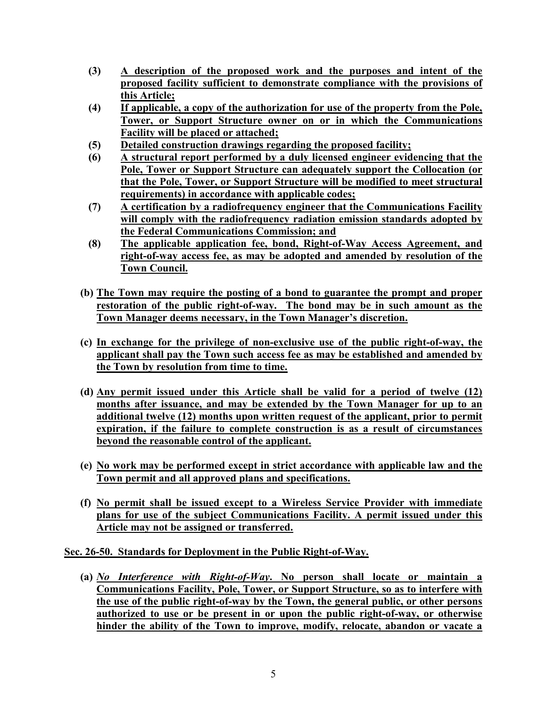- **(3) A description of the proposed work and the purposes and intent of the proposed facility sufficient to demonstrate compliance with the provisions of this Article;**
- **(4) If applicable, a copy of the authorization for use of the property from the Pole, Tower, or Support Structure owner on or in which the Communications Facility will be placed or attached;**
- **(5) Detailed construction drawings regarding the proposed facility;**
- **(6) A structural report performed by a duly licensed engineer evidencing that the Pole, Tower or Support Structure can adequately support the Collocation (or that the Pole, Tower, or Support Structure will be modified to meet structural requirements) in accordance with applicable codes;**
- **(7) A certification by a radiofrequency engineer that the Communications Facility will comply with the radiofrequency radiation emission standards adopted by the Federal Communications Commission; and**
- **(8) The applicable application fee, bond, Right-of-Way Access Agreement, and right-of-way access fee, as may be adopted and amended by resolution of the Town Council.**
- **(b) The Town may require the posting of a bond to guarantee the prompt and proper restoration of the public right-of-way. The bond may be in such amount as the Town Manager deems necessary, in the Town Manager's discretion.**
- **(c) In exchange for the privilege of non-exclusive use of the public right-of-way, the applicant shall pay the Town such access fee as may be established and amended by the Town by resolution from time to time.**
- **(d) Any permit issued under this Article shall be valid for a period of twelve (12) months after issuance, and may be extended by the Town Manager for up to an additional twelve (12) months upon written request of the applicant, prior to permit expiration, if the failure to complete construction is as a result of circumstances beyond the reasonable control of the applicant.**
- **(e) No work may be performed except in strict accordance with applicable law and the Town permit and all approved plans and specifications.**
- **(f) No permit shall be issued except to a Wireless Service Provider with immediate plans for use of the subject Communications Facility. A permit issued under this Article may not be assigned or transferred.**

**Sec. 26-50. Standards for Deployment in the Public Right-of-Way.** 

**(a)** *No Interference with Right-of-Way***. No person shall locate or maintain a Communications Facility, Pole, Tower, or Support Structure, so as to interfere with the use of the public right-of-way by the Town, the general public, or other persons authorized to use or be present in or upon the public right-of-way, or otherwise hinder the ability of the Town to improve, modify, relocate, abandon or vacate a**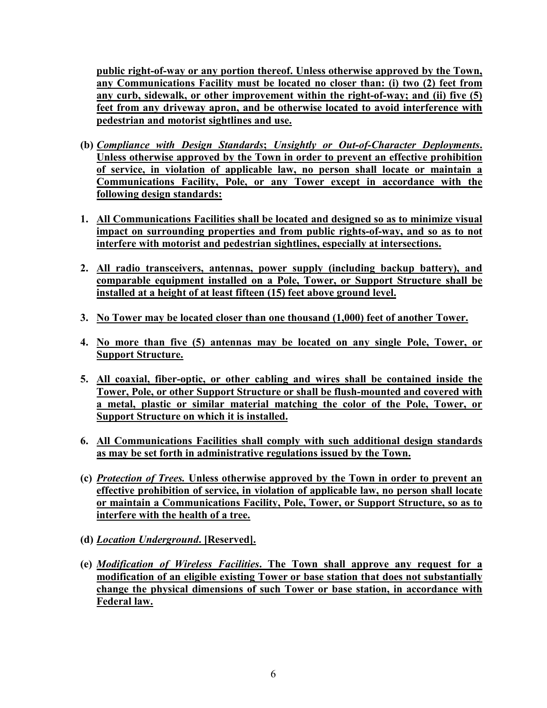**public right-of-way or any portion thereof. Unless otherwise approved by the Town, any Communications Facility must be located no closer than: (i) two (2) feet from any curb, sidewalk, or other improvement within the right-of-way; and (ii) five (5) feet from any driveway apron, and be otherwise located to avoid interference with pedestrian and motorist sightlines and use.** 

- **(b)** *Compliance with Design Standards***;** *Unsightly or Out-of-Character Deployments***. Unless otherwise approved by the Town in order to prevent an effective prohibition of service, in violation of applicable law, no person shall locate or maintain a Communications Facility, Pole, or any Tower except in accordance with the following design standards:**
- **1. All Communications Facilities shall be located and designed so as to minimize visual impact on surrounding properties and from public rights-of-way, and so as to not interfere with motorist and pedestrian sightlines, especially at intersections.**
- **2. All radio transceivers, antennas, power supply (including backup battery), and comparable equipment installed on a Pole, Tower, or Support Structure shall be installed at a height of at least fifteen (15) feet above ground level.**
- **3. No Tower may be located closer than one thousand (1,000) feet of another Tower.**
- **4. No more than five (5) antennas may be located on any single Pole, Tower, or Support Structure.**
- **5. All coaxial, fiber-optic, or other cabling and wires shall be contained inside the Tower, Pole, or other Support Structure or shall be flush-mounted and covered with a metal, plastic or similar material matching the color of the Pole, Tower, or Support Structure on which it is installed.**
- **6. All Communications Facilities shall comply with such additional design standards as may be set forth in administrative regulations issued by the Town.**
- **(c)** *Protection of Trees.* **Unless otherwise approved by the Town in order to prevent an effective prohibition of service, in violation of applicable law, no person shall locate or maintain a Communications Facility, Pole, Tower, or Support Structure, so as to interfere with the health of a tree.**
- **(d)** *Location Underground***. [Reserved].**
- **(e)** *Modification of Wireless Facilities***. The Town shall approve any request for a modification of an eligible existing Tower or base station that does not substantially change the physical dimensions of such Tower or base station, in accordance with Federal law.**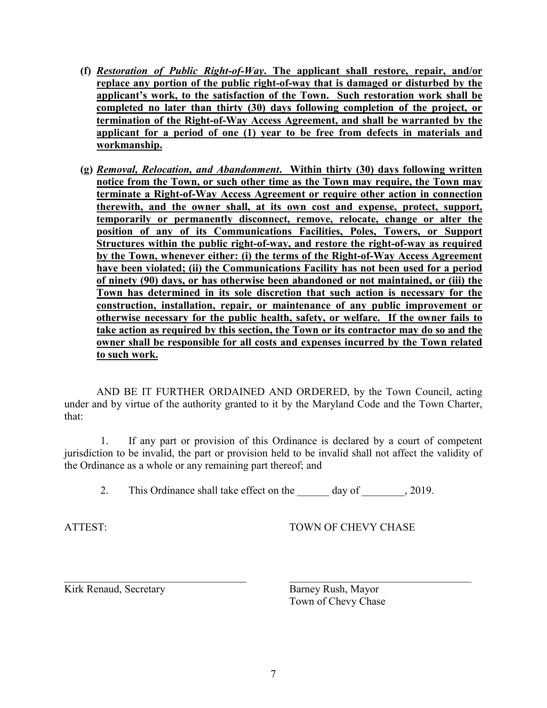- **(f)** *Restoration of Public Right-of-Way***. The applicant shall restore, repair, and/or replace any portion of the public right-of-way that is damaged or disturbed by the applicant's work, to the satisfaction of the Town. Such restoration work shall be completed no later than thirty (30) days following completion of the project, or termination of the Right-of-Way Access Agreement, and shall be warranted by the applicant for a period of one (1) year to be free from defects in materials and workmanship.**
- **(g)** *Removal, Relocation, and Abandonment***. Within thirty (30) days following written notice from the Town, or such other time as the Town may require, the Town may terminate a Right-of-Way Access Agreement or require other action in connection therewith, and the owner shall, at its own cost and expense, protect, support, temporarily or permanently disconnect, remove, relocate, change or alter the position of any of its Communications Facilities, Poles, Towers, or Support Structures within the public right-of-way, and restore the right-of-way as required by the Town, whenever either: (i) the terms of the Right-of-Way Access Agreement have been violated; (ii) the Communications Facility has not been used for a period of ninety (90) days, or has otherwise been abandoned or not maintained, or (iii) the Town has determined in its sole discretion that such action is necessary for the construction, installation, repair, or maintenance of any public improvement or otherwise necessary for the public health, safety, or welfare. If the owner fails to take action as required by this section, the Town or its contractor may do so and the owner shall be responsible for all costs and expenses incurred by the Town related to such work.**

AND BE IT FURTHER ORDAINED AND ORDERED, by the Town Council, acting under and by virtue of the authority granted to it by the Maryland Code and the Town Charter, that:

1. If any part or provision of this Ordinance is declared by a court of competent jurisdiction to be invalid, the part or provision held to be invalid shall not affect the validity of the Ordinance as a whole or any remaining part thereof; and

2. This Ordinance shall take effect on the day of 2019.

 $\mathcal{L}_\text{max}$  , and the contribution of the contribution of the contribution of the contribution of the contribution of the contribution of the contribution of the contribution of the contribution of the contribution of t

ATTEST: TOWN OF CHEVY CHASE

Kirk Renaud, Secretary Barney Rush, Mayor

Town of Chevy Chase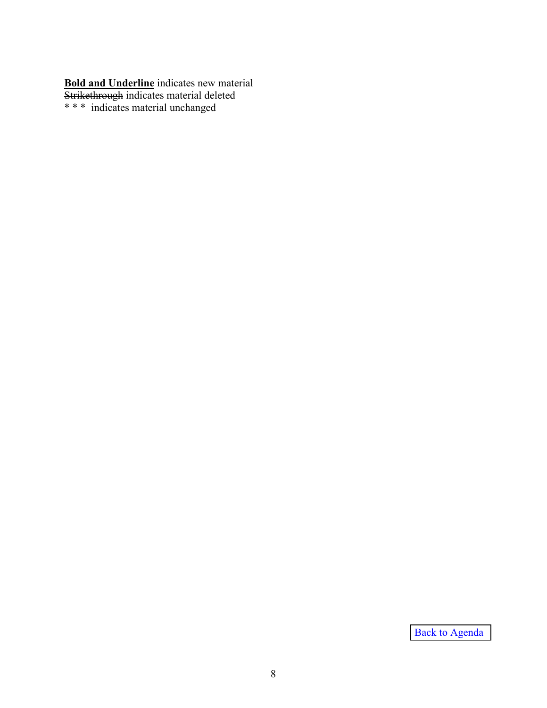**Bold and Underline** indicates new material Strikethrough indicates material deleted \* \* \* indicates material unchanged

[Back to Agenda](#page-0-0)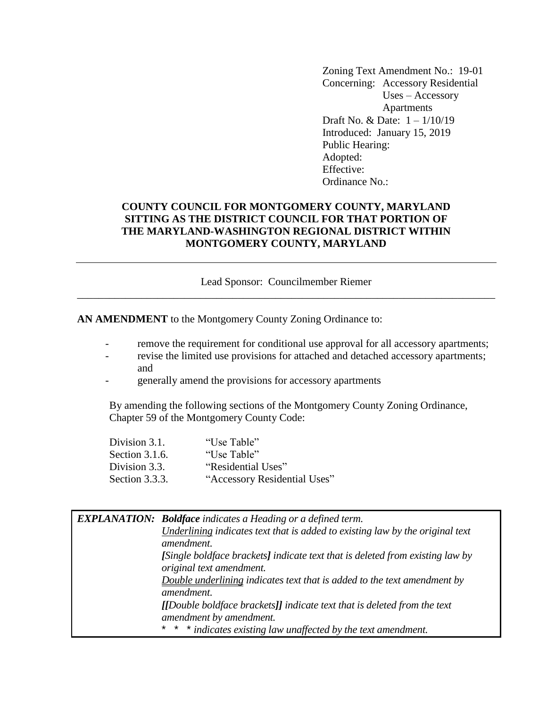Zoning Text Amendment No.: 19-01 Concerning: Accessory Residential Uses – Accessory Apartments Draft No. & Date: 1 – 1/10/19 Introduced: January 15, 2019 Public Hearing: Adopted: Effective: Ordinance No.:

#### <span id="page-10-0"></span>**COUNTY COUNCIL FOR MONTGOMERY COUNTY, MARYLAND SITTING AS THE DISTRICT COUNCIL FOR THAT PORTION OF THE MARYLAND-WASHINGTON REGIONAL DISTRICT WITHIN MONTGOMERY COUNTY, MARYLAND**

Lead Sponsor: Councilmember Riemer \_\_\_\_\_\_\_\_\_\_\_\_\_\_\_\_\_\_\_\_\_\_\_\_\_\_\_\_\_\_\_\_\_\_\_\_\_\_\_\_\_\_\_\_\_\_\_\_\_\_\_\_\_\_\_\_\_\_\_\_\_\_\_\_\_\_\_\_\_\_\_\_\_\_\_\_\_\_

**AN AMENDMENT** to the Montgomery County Zoning Ordinance to:

- remove the requirement for conditional use approval for all accessory apartments;
- revise the limited use provisions for attached and detached accessory apartments; and
- generally amend the provisions for accessory apartments

By amending the following sections of the Montgomery County Zoning Ordinance, Chapter 59 of the Montgomery County Code:

| Division 3.1.  | "Use Table"                  |
|----------------|------------------------------|
| Section 3.1.6. | "Use Table"                  |
| Division 3.3.  | "Residential Uses"           |
| Section 3.3.3. | "Accessory Residential Uses" |

| <b>EXPLANATION:</b> Boldface indicates a Heading or a defined term.           |
|-------------------------------------------------------------------------------|
| Underlining indicates text that is added to existing law by the original text |
| amendment.                                                                    |
| [Single boldface brackets] indicate text that is deleted from existing law by |
| original text amendment.                                                      |
| Double underlining indicates text that is added to the text amendment by      |
| amendment.                                                                    |
| [[Double boldface brackets]] indicate text that is deleted from the text      |
| amendment by amendment.                                                       |
| $\ast$<br>* * indicates existing law unaffected by the text amendment.        |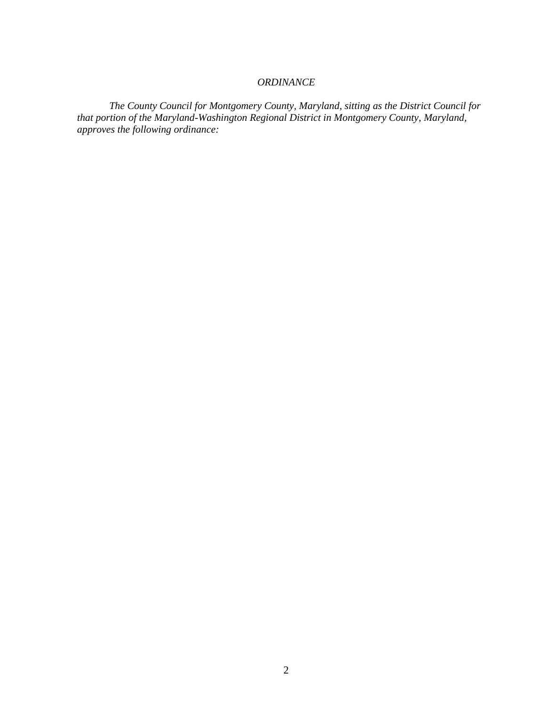#### *ORDINANCE*

*The County Council for Montgomery County, Maryland, sitting as the District Council for that portion of the Maryland-Washington Regional District in Montgomery County, Maryland, approves the following ordinance:*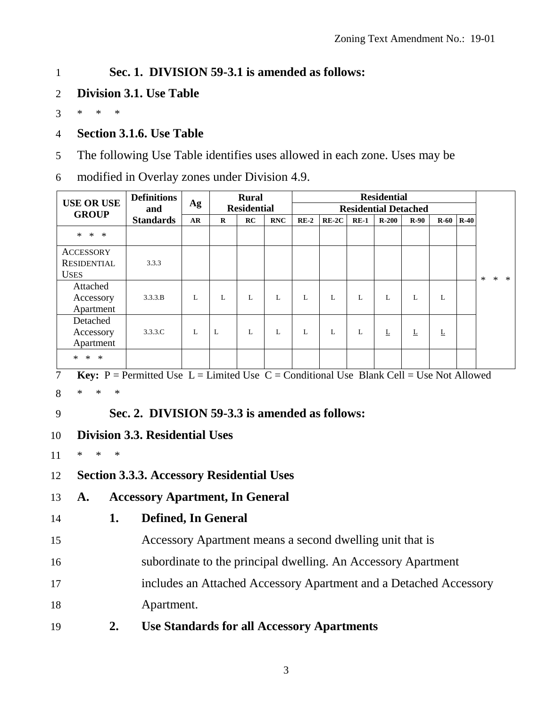#### 1 **Sec. 1. DIVISION 59-3.1 is amended as follows:**

2 **Division 3.1. Use Table**

3 \* \* \*

- 4 **Section 3.1.6. Use Table**
- 5 The following Use Table identifies uses allowed in each zone. Uses may be
- 6 modified in Overlay zones under Division 4.9.

| <b>USE OR USE</b>       | <b>Definitions</b><br>and | Ag |          | <b>Rural</b><br><b>Residential</b> |            |        |         |        | <b>Residential</b><br><b>Residential Detached</b> |        |        |        |         |        |        |
|-------------------------|---------------------------|----|----------|------------------------------------|------------|--------|---------|--------|---------------------------------------------------|--------|--------|--------|---------|--------|--------|
| <b>GROUP</b>            | <b>Standards</b>          | AR | $\bf{R}$ | RC                                 | <b>RNC</b> | $RE-2$ | $RE-2C$ | $RE-1$ | $R-200$                                           | $R-90$ | $R-60$ | $R-40$ |         |        |        |
| $\ast$<br>$\ast$<br>$*$ |                           |    |          |                                    |            |        |         |        |                                                   |        |        |        |         |        |        |
| <b>ACCESSORY</b>        |                           |    |          |                                    |            |        |         |        |                                                   |        |        |        |         |        |        |
| <b>RESIDENTIAL</b>      | 3.3.3                     |    |          |                                    |            |        |         |        |                                                   |        |        |        |         |        |        |
| <b>USES</b>             |                           |    |          |                                    |            |        |         |        |                                                   |        |        |        | $\star$ | $\ast$ | $\ast$ |
| Attached                |                           |    |          |                                    |            |        |         |        |                                                   |        |        |        |         |        |        |
| Accessory               | 3.3.3 B                   | L  | L        | L                                  | L          | L      | L       | L      | L                                                 | L      | L      |        |         |        |        |
| Apartment               |                           |    |          |                                    |            |        |         |        |                                                   |        |        |        |         |        |        |
| Detached                |                           |    |          |                                    |            |        |         |        |                                                   |        |        |        |         |        |        |
| Accessory               | 3.3.3.C                   | L  | L        | L                                  | L          | L      | L       | L      | L                                                 | L      | L      |        |         |        |        |
| Apartment               |                           |    |          |                                    |            |        |         |        |                                                   |        |        |        |         |        |        |
| $\ast$<br>$\ast$<br>$*$ |                           |    |          |                                    |            |        |         |        |                                                   |        |        |        |         |        |        |

7 **Key:**  $P =$  Permitted Use  $L =$  Limited Use  $C =$  Conditional Use Blank Cell = Use Not Allowed 8 \* \* \*

# 9 **Sec. 2. DIVISION 59-3.3 is amended as follows:**

10 **Division 3.3. Residential Uses**

11 \* \* \*

12 **Section 3.3.3. Accessory Residential Uses**

- 13 **A. Accessory Apartment, In General**
- 

### 14 **1. Defined, In General**

15 Accessory Apartment means a second dwelling unit that is

- 16 subordinate to the principal dwelling. An Accessory Apartment
- 17 includes an Attached Accessory Apartment and a Detached Accessory

18 Apartment.

19 **2. Use Standards for all Accessory Apartments**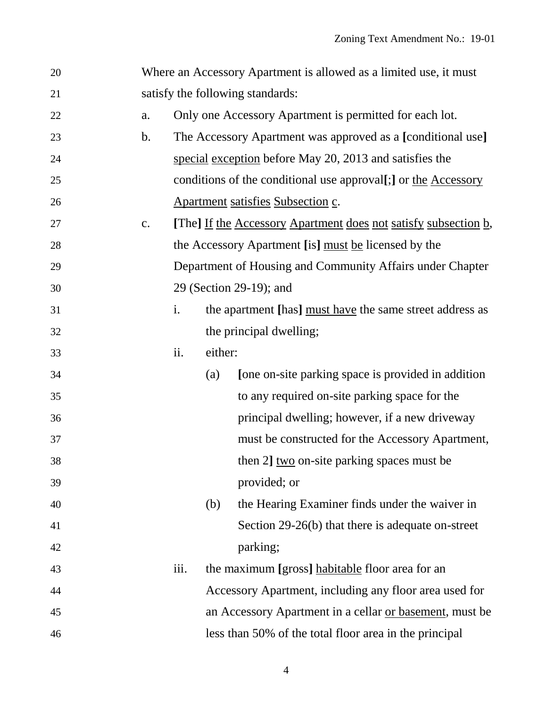| 20 |               | Where an Accessory Apartment is allowed as a limited use, it must |                                                                 |                                                                |  |  |  |  |  |
|----|---------------|-------------------------------------------------------------------|-----------------------------------------------------------------|----------------------------------------------------------------|--|--|--|--|--|
| 21 |               |                                                                   | satisfy the following standards:                                |                                                                |  |  |  |  |  |
| 22 | a.            |                                                                   | Only one Accessory Apartment is permitted for each lot.         |                                                                |  |  |  |  |  |
| 23 | $\mathbf b$ . |                                                                   | The Accessory Apartment was approved as a [conditional use]     |                                                                |  |  |  |  |  |
| 24 |               |                                                                   |                                                                 | special exception before May 20, 2013 and satisfies the        |  |  |  |  |  |
| 25 |               |                                                                   |                                                                 | conditions of the conditional use approval[;] or the Accessory |  |  |  |  |  |
| 26 |               |                                                                   | Apartment satisfies Subsection c.                               |                                                                |  |  |  |  |  |
| 27 | c.            |                                                                   | [The] If the Accessory Apartment does not satisfy subsection b, |                                                                |  |  |  |  |  |
| 28 |               |                                                                   | the Accessory Apartment [is] must be licensed by the            |                                                                |  |  |  |  |  |
| 29 |               |                                                                   | Department of Housing and Community Affairs under Chapter       |                                                                |  |  |  |  |  |
| 30 |               |                                                                   |                                                                 | 29 (Section 29-19); and                                        |  |  |  |  |  |
| 31 |               | $\mathbf{i}$ .                                                    |                                                                 | the apartment [has] must have the same street address as       |  |  |  |  |  |
| 32 |               |                                                                   |                                                                 | the principal dwelling;                                        |  |  |  |  |  |
| 33 |               | ii.                                                               | either:                                                         |                                                                |  |  |  |  |  |
| 34 |               |                                                                   | (a)                                                             | [one on-site parking space is provided in addition]            |  |  |  |  |  |
| 35 |               |                                                                   |                                                                 | to any required on-site parking space for the                  |  |  |  |  |  |
| 36 |               |                                                                   |                                                                 | principal dwelling; however, if a new driveway                 |  |  |  |  |  |
| 37 |               |                                                                   |                                                                 | must be constructed for the Accessory Apartment,               |  |  |  |  |  |
| 38 |               |                                                                   |                                                                 | then 2] two on-site parking spaces must be                     |  |  |  |  |  |
| 39 |               |                                                                   |                                                                 | provided; or                                                   |  |  |  |  |  |
| 40 |               |                                                                   | (b)                                                             | the Hearing Examiner finds under the waiver in                 |  |  |  |  |  |
| 41 |               |                                                                   |                                                                 | Section 29-26(b) that there is adequate on-street              |  |  |  |  |  |
| 42 |               |                                                                   |                                                                 | parking;                                                       |  |  |  |  |  |
| 43 |               | iii.                                                              |                                                                 | the maximum [gross] habitable floor area for an                |  |  |  |  |  |
| 44 |               |                                                                   |                                                                 | Accessory Apartment, including any floor area used for         |  |  |  |  |  |
| 45 |               |                                                                   |                                                                 | an Accessory Apartment in a cellar or basement, must be        |  |  |  |  |  |
| 46 |               |                                                                   |                                                                 | less than 50% of the total floor area in the principal         |  |  |  |  |  |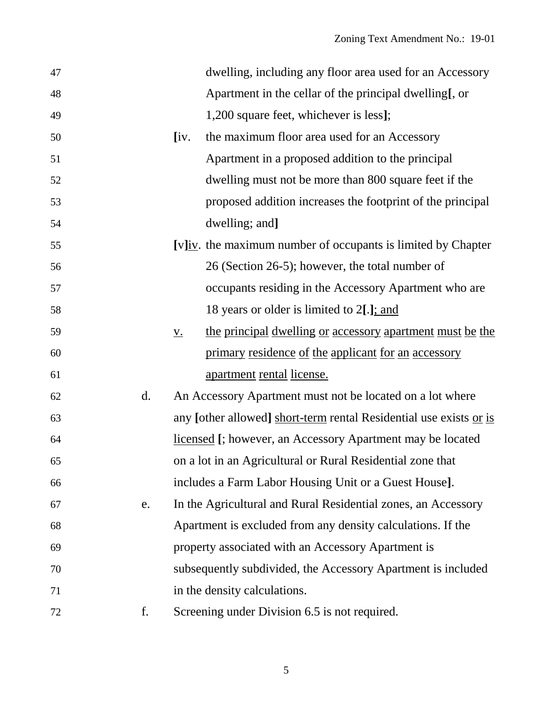| 47 |                |                  | dwelling, including any floor area used for an Accessory           |
|----|----------------|------------------|--------------------------------------------------------------------|
| 48 |                |                  | Apartment in the cellar of the principal dwelling[, or             |
| 49 |                |                  | 1,200 square feet, whichever is less];                             |
| 50 |                | [iv.]            | the maximum floor area used for an Accessory                       |
| 51 |                |                  | Apartment in a proposed addition to the principal                  |
| 52 |                |                  | dwelling must not be more than 800 square feet if the              |
| 53 |                |                  | proposed addition increases the footprint of the principal         |
| 54 |                |                  | dwelling; and]                                                     |
| 55 |                |                  | [v]iv. the maximum number of occupants is limited by Chapter       |
| 56 |                |                  | 26 (Section 26-5); however, the total number of                    |
| 57 |                |                  | occupants residing in the Accessory Apartment who are              |
| 58 |                |                  | 18 years or older is limited to 2[.]; and                          |
| 59 |                | $\underline{V.}$ | the principal dwelling or accessory apartment must be the          |
| 60 |                |                  | primary residence of the applicant for an accessory                |
| 61 |                |                  | <u>apartment</u> rental license.                                   |
| 62 | $\mathbf{d}$ . |                  | An Accessory Apartment must not be located on a lot where          |
| 63 |                |                  | any [other allowed] short-term rental Residential use exists or is |
| 64 |                |                  | licensed [; however, an Accessory Apartment may be located         |
| 65 |                |                  | on a lot in an Agricultural or Rural Residential zone that         |
| 66 |                |                  | includes a Farm Labor Housing Unit or a Guest House].              |
| 67 | e.             |                  | In the Agricultural and Rural Residential zones, an Accessory      |
| 68 |                |                  | Apartment is excluded from any density calculations. If the        |
| 69 |                |                  | property associated with an Accessory Apartment is                 |
| 70 |                |                  | subsequently subdivided, the Accessory Apartment is included       |
| 71 |                |                  | in the density calculations.                                       |
| 72 | f.             |                  | Screening under Division 6.5 is not required.                      |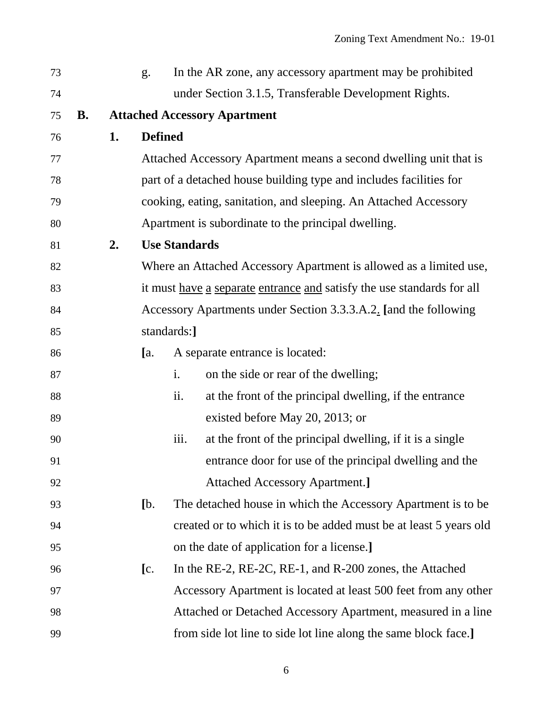| 73 |           |    | g <sub>1</sub> |                                                                        | In the AR zone, any accessory apartment may be prohibited          |  |  |  |  |  |
|----|-----------|----|----------------|------------------------------------------------------------------------|--------------------------------------------------------------------|--|--|--|--|--|
| 74 |           |    |                |                                                                        | under Section 3.1.5, Transferable Development Rights.              |  |  |  |  |  |
| 75 | <b>B.</b> |    |                | <b>Attached Accessory Apartment</b>                                    |                                                                    |  |  |  |  |  |
| 76 |           | 1. |                | <b>Defined</b>                                                         |                                                                    |  |  |  |  |  |
| 77 |           |    |                | Attached Accessory Apartment means a second dwelling unit that is      |                                                                    |  |  |  |  |  |
| 78 |           |    |                |                                                                        | part of a detached house building type and includes facilities for |  |  |  |  |  |
| 79 |           |    |                | cooking, eating, sanitation, and sleeping. An Attached Accessory       |                                                                    |  |  |  |  |  |
| 80 |           |    |                |                                                                        | Apartment is subordinate to the principal dwelling.                |  |  |  |  |  |
| 81 |           | 2. |                | <b>Use Standards</b>                                                   |                                                                    |  |  |  |  |  |
| 82 |           |    |                |                                                                        | Where an Attached Accessory Apartment is allowed as a limited use, |  |  |  |  |  |
| 83 |           |    |                | it must have a separate entrance and satisfy the use standards for all |                                                                    |  |  |  |  |  |
| 84 |           |    |                | Accessory Apartments under Section 3.3.3.A.2. [and the following       |                                                                    |  |  |  |  |  |
| 85 |           |    |                | standards:]                                                            |                                                                    |  |  |  |  |  |
| 86 |           |    | [a.            |                                                                        | A separate entrance is located:                                    |  |  |  |  |  |
| 87 |           |    |                | i.                                                                     | on the side or rear of the dwelling;                               |  |  |  |  |  |
| 88 |           |    |                | ii.                                                                    | at the front of the principal dwelling, if the entrance            |  |  |  |  |  |
| 89 |           |    |                |                                                                        | existed before May 20, 2013; or                                    |  |  |  |  |  |
| 90 |           |    |                | iii.                                                                   | at the front of the principal dwelling, if it is a single          |  |  |  |  |  |
| 91 |           |    |                |                                                                        | entrance door for use of the principal dwelling and the            |  |  |  |  |  |
| 92 |           |    |                |                                                                        | <b>Attached Accessory Apartment.</b> ]                             |  |  |  |  |  |
| 93 |           |    | [b,            |                                                                        | The detached house in which the Accessory Apartment is to be       |  |  |  |  |  |
| 94 |           |    |                |                                                                        | created or to which it is to be added must be at least 5 years old |  |  |  |  |  |
| 95 |           |    |                |                                                                        | on the date of application for a license.]                         |  |  |  |  |  |
| 96 |           |    | $[{\rm c}].$   |                                                                        | In the RE-2, RE-2C, RE-1, and R-200 zones, the Attached            |  |  |  |  |  |
| 97 |           |    |                |                                                                        | Accessory Apartment is located at least 500 feet from any other    |  |  |  |  |  |
| 98 |           |    |                |                                                                        | Attached or Detached Accessory Apartment, measured in a line       |  |  |  |  |  |
| 99 |           |    |                |                                                                        | from side lot line to side lot line along the same block face.]    |  |  |  |  |  |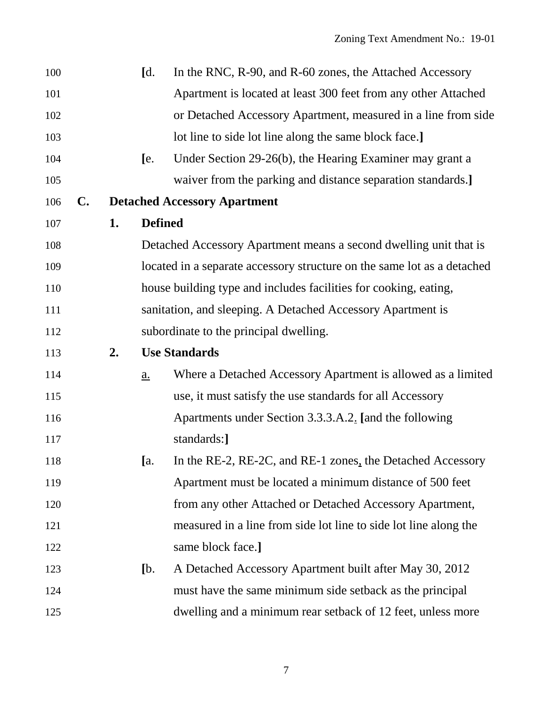| 100 |                |    | $\mathsf{Id}.$                                                   | In the RNC, R-90, and R-60 zones, the Attached Accessory                |  |  |  |  |  |  |
|-----|----------------|----|------------------------------------------------------------------|-------------------------------------------------------------------------|--|--|--|--|--|--|
| 101 |                |    |                                                                  | Apartment is located at least 300 feet from any other Attached          |  |  |  |  |  |  |
| 102 |                |    |                                                                  | or Detached Accessory Apartment, measured in a line from side           |  |  |  |  |  |  |
| 103 |                |    |                                                                  | lot line to side lot line along the same block face.]                   |  |  |  |  |  |  |
| 104 |                |    | [e.                                                              | Under Section 29-26(b), the Hearing Examiner may grant a                |  |  |  |  |  |  |
| 105 |                |    |                                                                  | waiver from the parking and distance separation standards.]             |  |  |  |  |  |  |
| 106 | $\mathbf{C}$ . |    |                                                                  | <b>Detached Accessory Apartment</b>                                     |  |  |  |  |  |  |
| 107 |                | 1. | <b>Defined</b>                                                   |                                                                         |  |  |  |  |  |  |
| 108 |                |    |                                                                  | Detached Accessory Apartment means a second dwelling unit that is       |  |  |  |  |  |  |
| 109 |                |    |                                                                  | located in a separate accessory structure on the same lot as a detached |  |  |  |  |  |  |
| 110 |                |    | house building type and includes facilities for cooking, eating, |                                                                         |  |  |  |  |  |  |
| 111 |                |    |                                                                  | sanitation, and sleeping. A Detached Accessory Apartment is             |  |  |  |  |  |  |
| 112 |                |    |                                                                  | subordinate to the principal dwelling.                                  |  |  |  |  |  |  |
| 113 |                | 2. |                                                                  | <b>Use Standards</b>                                                    |  |  |  |  |  |  |
| 114 |                |    | a.                                                               | Where a Detached Accessory Apartment is allowed as a limited            |  |  |  |  |  |  |
| 115 |                |    |                                                                  | use, it must satisfy the use standards for all Accessory                |  |  |  |  |  |  |
| 116 |                |    |                                                                  | Apartments under Section 3.3.3.A.2. [and the following                  |  |  |  |  |  |  |
| 117 |                |    |                                                                  | standards:]                                                             |  |  |  |  |  |  |
| 118 |                |    | [a,                                                              | In the RE-2, RE-2C, and RE-1 zones, the Detached Accessory              |  |  |  |  |  |  |
| 119 |                |    |                                                                  | Apartment must be located a minimum distance of 500 feet                |  |  |  |  |  |  |
| 120 |                |    |                                                                  | from any other Attached or Detached Accessory Apartment,                |  |  |  |  |  |  |
| 121 |                |    |                                                                  | measured in a line from side lot line to side lot line along the        |  |  |  |  |  |  |
| 122 |                |    |                                                                  | same block face.]                                                       |  |  |  |  |  |  |
| 123 |                |    | [b]                                                              | A Detached Accessory Apartment built after May 30, 2012                 |  |  |  |  |  |  |
| 124 |                |    |                                                                  | must have the same minimum side setback as the principal                |  |  |  |  |  |  |
| 125 |                |    |                                                                  | dwelling and a minimum rear setback of 12 feet, unless more             |  |  |  |  |  |  |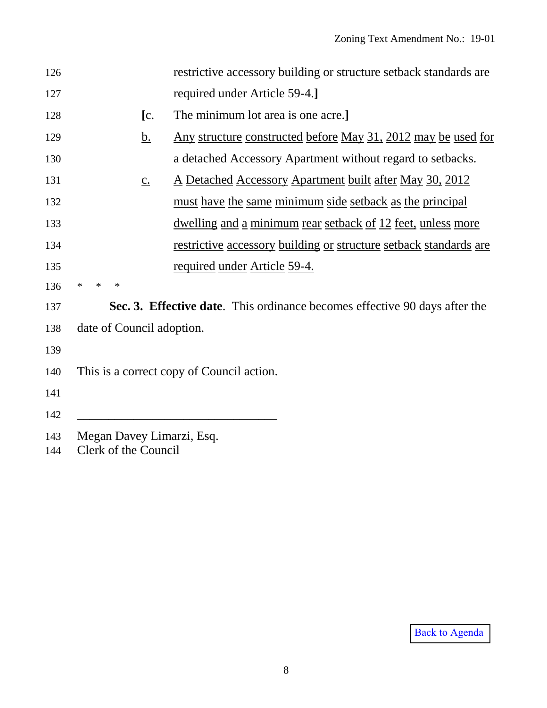| restrictive accessory building or structure setback standards are<br>126<br>required under Article 59-4.]<br>127<br>The minimum lot area is one acre.]<br>[c.]<br>128<br><u>Any structure constructed before May 31, 2012 may be used for</u><br><u>b.</u><br>129<br>a detached Accessory Apartment without regard to setbacks.<br>130<br><u>A Detached Accessory Apartment built after May 30, 2012</u><br>131<br>$\underline{c}$ .<br>must have the same minimum side setback as the principal<br>132<br><u>dwelling and a minimum rear setback of 12 feet, unless more</u><br>133<br><u>restrictive accessory building or structure setback standards are</u><br>134<br>required under Article 59-4.<br>135<br>136<br>$\ast$<br>$\ast$<br>∗<br>Sec. 3. Effective date. This ordinance becomes effective 90 days after the<br>137 |  |
|-------------------------------------------------------------------------------------------------------------------------------------------------------------------------------------------------------------------------------------------------------------------------------------------------------------------------------------------------------------------------------------------------------------------------------------------------------------------------------------------------------------------------------------------------------------------------------------------------------------------------------------------------------------------------------------------------------------------------------------------------------------------------------------------------------------------------------------|--|
|                                                                                                                                                                                                                                                                                                                                                                                                                                                                                                                                                                                                                                                                                                                                                                                                                                     |  |
|                                                                                                                                                                                                                                                                                                                                                                                                                                                                                                                                                                                                                                                                                                                                                                                                                                     |  |
|                                                                                                                                                                                                                                                                                                                                                                                                                                                                                                                                                                                                                                                                                                                                                                                                                                     |  |
|                                                                                                                                                                                                                                                                                                                                                                                                                                                                                                                                                                                                                                                                                                                                                                                                                                     |  |
|                                                                                                                                                                                                                                                                                                                                                                                                                                                                                                                                                                                                                                                                                                                                                                                                                                     |  |
|                                                                                                                                                                                                                                                                                                                                                                                                                                                                                                                                                                                                                                                                                                                                                                                                                                     |  |
|                                                                                                                                                                                                                                                                                                                                                                                                                                                                                                                                                                                                                                                                                                                                                                                                                                     |  |
|                                                                                                                                                                                                                                                                                                                                                                                                                                                                                                                                                                                                                                                                                                                                                                                                                                     |  |
|                                                                                                                                                                                                                                                                                                                                                                                                                                                                                                                                                                                                                                                                                                                                                                                                                                     |  |
|                                                                                                                                                                                                                                                                                                                                                                                                                                                                                                                                                                                                                                                                                                                                                                                                                                     |  |
|                                                                                                                                                                                                                                                                                                                                                                                                                                                                                                                                                                                                                                                                                                                                                                                                                                     |  |
|                                                                                                                                                                                                                                                                                                                                                                                                                                                                                                                                                                                                                                                                                                                                                                                                                                     |  |
| date of Council adoption.<br>138                                                                                                                                                                                                                                                                                                                                                                                                                                                                                                                                                                                                                                                                                                                                                                                                    |  |
| 139                                                                                                                                                                                                                                                                                                                                                                                                                                                                                                                                                                                                                                                                                                                                                                                                                                 |  |
| This is a correct copy of Council action.<br>140                                                                                                                                                                                                                                                                                                                                                                                                                                                                                                                                                                                                                                                                                                                                                                                    |  |
| 141                                                                                                                                                                                                                                                                                                                                                                                                                                                                                                                                                                                                                                                                                                                                                                                                                                 |  |
| 142                                                                                                                                                                                                                                                                                                                                                                                                                                                                                                                                                                                                                                                                                                                                                                                                                                 |  |
| Megan Davey Limarzi, Esq.<br>143<br>Clerk of the Council<br>144                                                                                                                                                                                                                                                                                                                                                                                                                                                                                                                                                                                                                                                                                                                                                                     |  |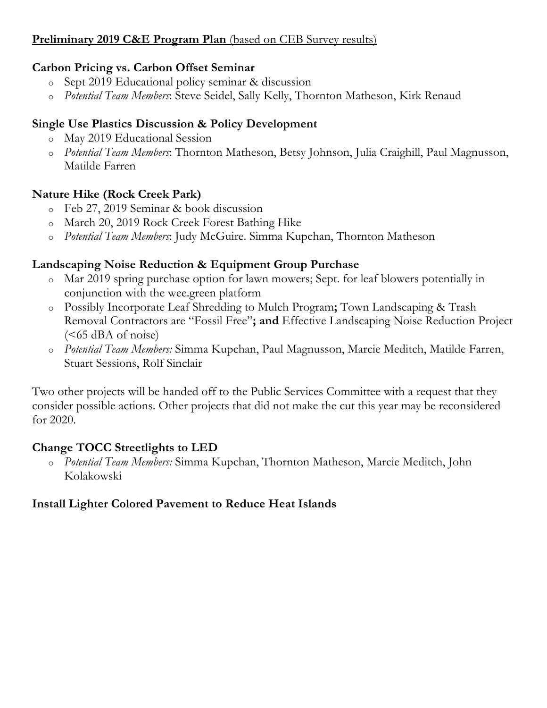# <span id="page-18-0"></span>**Preliminary 2019 C&E Program Plan** (based on CEB Survey results)

### **Carbon Pricing vs. Carbon Offset Seminar**

- o Sept 2019 Educational policy seminar & discussion
- o *Potential Team Members*: Steve Seidel, Sally Kelly, Thornton Matheson, Kirk Renaud

### **Single Use Plastics Discussion & Policy Development**

- o May 2019 Educational Session
- o *Potential Team Members*: Thornton Matheson, Betsy Johnson, Julia Craighill, Paul Magnusson, Matilde Farren

### **Nature Hike (Rock Creek Park)**

- o Feb 27, 2019 Seminar & book discussion
- o March 20, 2019 Rock Creek Forest Bathing Hike
- o *Potential Team Members*: Judy McGuire. Simma Kupchan, Thornton Matheson

### **Landscaping Noise Reduction & Equipment Group Purchase**

- o Mar 2019 spring purchase option for lawn mowers; Sept. for leaf blowers potentially in conjunction with the wee.green platform
- o Possibly Incorporate Leaf Shredding to Mulch Program**;** Town Landscaping & Trash Removal Contractors are "Fossil Free"**; and** Effective Landscaping Noise Reduction Project  $(<65$  dBA of noise)
- o *Potential Team Members:* Simma Kupchan, Paul Magnusson, Marcie Meditch, Matilde Farren, Stuart Sessions, Rolf Sinclair

Two other projects will be handed off to the Public Services Committee with a request that they consider possible actions. Other projects that did not make the cut this year may be reconsidered for 2020.

### **Change TOCC Streetlights to LED**

o *Potential Team Members:* Simma Kupchan, Thornton Matheson, Marcie Meditch, John Kolakowski

# **Install Lighter Colored Pavement to Reduce Heat Islands**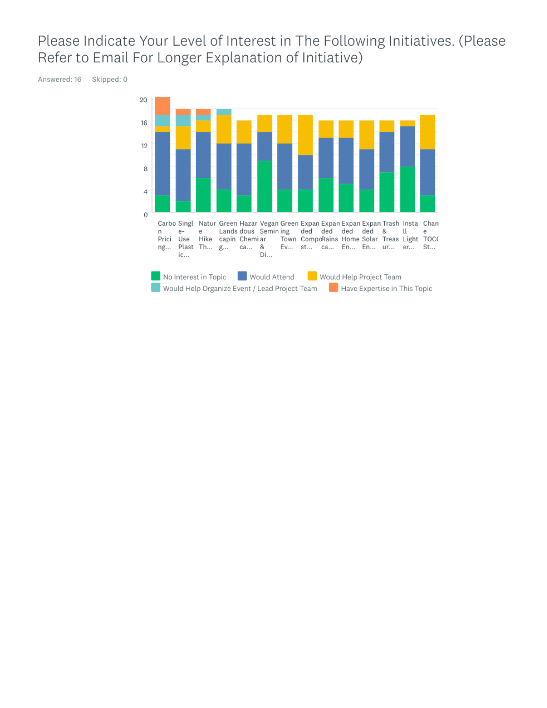# Please Indicate Your Level of Interest in The Following Initiatives. (Please Refer to Email For Longer Explanation of Initiative)

Answered: 16 Skipped: 0

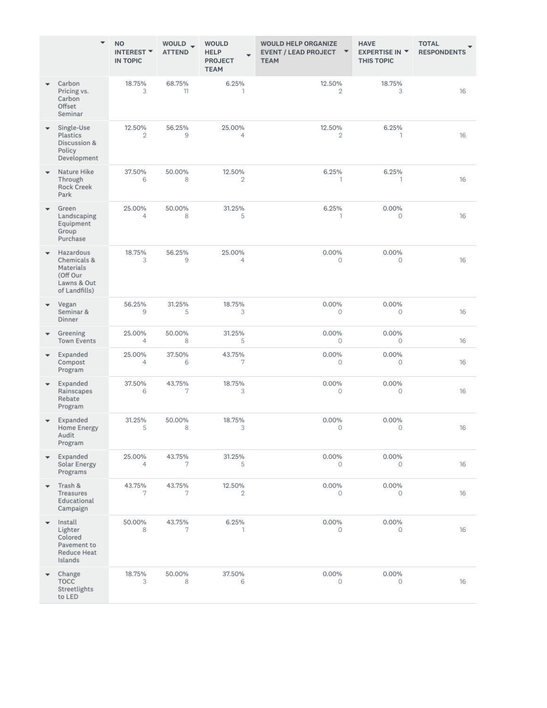|                          |                                                                                   | <b>NO</b><br>INTEREST <b>*</b><br><b>IN TOPIC</b> | WOULD _<br><b>ATTEND</b> | <b>WOULD</b><br><b>HELP</b><br><b>PROJECT</b><br><b>TEAM</b> | <b>WOULD HELP ORGANIZE</b><br>EVENT / LEAD PROJECT ▼<br><b>TEAM</b> | <b>HAVE</b><br><b>EXPERTISE IN ▼</b><br><b>THIS TOPIC</b> | <b>TOTAL</b><br><b>RESPONDENTS</b> |
|--------------------------|-----------------------------------------------------------------------------------|---------------------------------------------------|--------------------------|--------------------------------------------------------------|---------------------------------------------------------------------|-----------------------------------------------------------|------------------------------------|
|                          | Carbon<br>Pricing vs.<br>Carbon<br>Offset<br>Seminar                              | 18.75%<br>3                                       | 68.75%<br>11             | 6.25%<br>1                                                   | 12.50%<br>2                                                         | 18.75%<br>3                                               | 16                                 |
|                          | Single-Use<br>Plastics<br>Discussion &<br>Policy<br>Development                   | 12.50%<br>2                                       | 56.25%<br>9              | 25.00%<br>$\overline{4}$                                     | 12.50%<br>$\mathbf{2}$                                              | 6.25%<br>$\mathbf{1}$                                     | 16                                 |
|                          | Nature Hike<br>Through<br>Rock Creek<br>Park                                      | 37.50%<br>6                                       | 50.00%<br>8              | 12.50%<br>2                                                  | 6.25%<br>$\mathbf{1}$                                               | 6.25%<br>$\mathbf{1}$                                     | 16                                 |
|                          | Green<br>Landscaping<br>Equipment<br>Group<br>Purchase                            | 25.00%<br>$\overline{4}$                          | 50.00%<br>8              | 31.25%<br>5                                                  | 6.25%<br>1                                                          | 0.00%<br>0                                                | 16                                 |
| ٠                        | Hazardous<br>Chemicals &<br>Materials<br>(Off Our<br>Lawns & Out<br>of Landfills) | 18.75%<br>3                                       | 56.25%<br>9              | 25.00%<br>4                                                  | 0.00%<br>0                                                          | 0.00%<br>0                                                | 16                                 |
| $\overline{\phantom{a}}$ | Vegan<br>Seminar &<br>Dinner                                                      | 56.25%<br>9                                       | 31.25%<br>5              | 18.75%<br>3                                                  | 0.00%<br>0                                                          | 0.00%<br>0                                                | 16                                 |
| $\overline{\phantom{a}}$ | Greening<br>Town Events                                                           | 25.00%<br>4                                       | 50.00%<br>8              | 31.25%<br>5                                                  | 0.00%<br>$\circ$                                                    | 0.00%<br>$\circ$                                          | 16                                 |
| $\overline{\phantom{a}}$ | Expanded<br>Compost<br>Program                                                    | 25.00%<br>4                                       | 37.50%<br>6              | 43.75%<br>7                                                  | 0.00%<br>$\circ$                                                    | 0.00%<br>0                                                | 16                                 |
| $\overline{\phantom{a}}$ | Expanded<br>Rainscapes<br>Rebate<br>Program                                       | 37.50%<br>6                                       | 43.75%<br>7              | 18.75%<br>3                                                  | 0.00%<br>0                                                          | 0.00%<br>$\circ$                                          | 16                                 |
|                          | Expanded<br>Home Energy<br>Audit<br>Program                                       | 31.25%<br>5                                       | 50.00%<br>8              | 18.75%<br>3                                                  | 0.00%<br>0                                                          | 0.00%<br>0                                                | 16                                 |
| $\overline{\phantom{a}}$ | Expanded<br>Solar Energy<br>Programs                                              | 25.00%<br>4                                       | 43.75%<br>7              | 31.25%<br>5                                                  | 0.00%<br>0                                                          | 0.00%<br>$\circ$                                          | 16                                 |
| $\overline{\phantom{a}}$ | Trash &<br>Treasures<br>Educational<br>Campaign                                   | 43.75%<br>7                                       | 43.75%<br>7              | 12.50%<br>2                                                  | $0.00\%$<br>0                                                       | 0.00%<br>0                                                | 16                                 |
| ٠                        | Install<br>Lighter<br>Colored<br>Pavement to<br>Reduce Heat<br>Islands            | 50.00%<br>8                                       | 43.75%<br>7              | 6.25%<br>1                                                   | 0.00%<br>0                                                          | $0.00\%$<br>$\circ$                                       | 16                                 |
| $\overline{\phantom{a}}$ | Change<br><b>TOCC</b><br>Streetlights<br>to LED                                   | 18.75%<br>3                                       | 50.00%<br>8              | 37.50%<br>6                                                  | 0.00%<br>0                                                          | 0.00%<br>0                                                | 16                                 |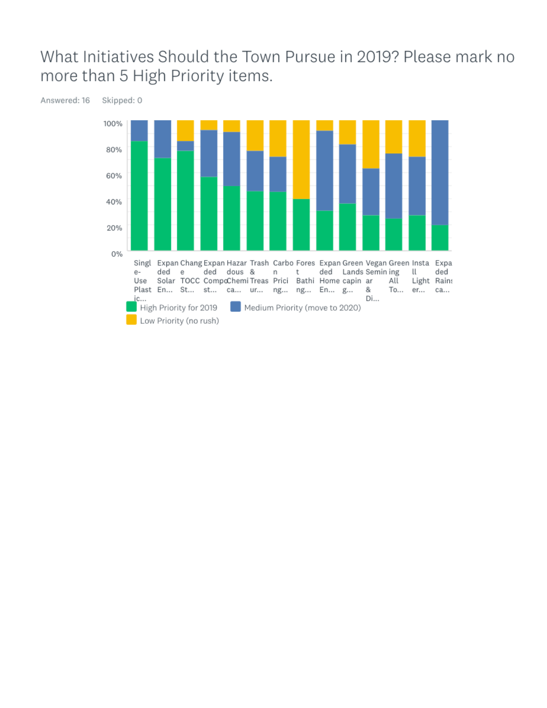# What Initiatives Should the Town Pursue in 2019? Please mark no more than 5 High Priority items.



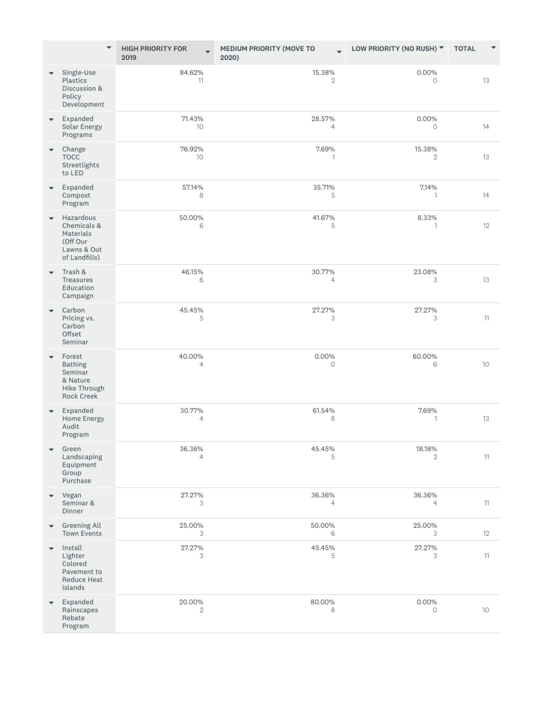|                          | $\blacktriangledown$                                                              | <b>HIGH PRIORITY FOR</b><br>2019 | MEDIUM PRIORITY (MOVE TO<br>2020) | LOW PRIORITY (NO RUSH) ▼ | <b>TOTAL</b> |
|--------------------------|-----------------------------------------------------------------------------------|----------------------------------|-----------------------------------|--------------------------|--------------|
| $\overline{\phantom{a}}$ | Single-Use<br>Plastics<br>Discussion &<br>Policy<br>Development                   | 84.62%<br>11                     | 15.38%<br>$\overline{2}$          | 0.00%<br>0               | 13           |
| $\overline{\phantom{a}}$ | Expanded<br>Solar Energy<br>Programs                                              | 71.43%<br>10                     | 28.57%<br>4                       | $0.00\%$<br>0            | 14           |
|                          | Change<br><b>TOCC</b><br>Streetlights<br>to LED                                   | 76.92%<br>10                     | 7.69%<br>1                        | 15.38%<br>$\mathbf{2}$   | 13           |
| $\overline{\phantom{a}}$ | Expanded<br>Compost<br>Program                                                    | 57.14%<br>8                      | 35.71%<br>5                       | 7.14%<br>1               | 14           |
| $\overline{\phantom{a}}$ | Hazardous<br>Chemicals &<br>Materials<br>(Off Our<br>Lawns & Out<br>of Landfills) | 50.00%<br>6                      | 41.67%<br>5                       | 8.33%<br>1               | 12           |
| $\overline{\phantom{a}}$ | Trash &<br>Treasures<br>Education<br>Campaign                                     | 46.15%<br>6                      | 30.77%<br>4                       | 23.08%<br>3              | 13           |
| $\overline{\phantom{a}}$ | Carbon<br>Pricing vs.<br>Carbon<br>Offset<br>Seminar                              | 45.45%<br>5                      | 27.27%<br>3                       | 27.27%<br>З              | 11           |
|                          | Forest<br>Bathing<br>Seminar<br>& Nature<br>Hike Through<br><b>Rock Creek</b>     | 40.00%<br>4                      | $0.00\%$<br>0                     | 60.00%<br>6              | 10           |
|                          | Expanded<br>Home Energy<br>Audit<br>Program                                       | 30.77%<br>4                      | 61.54%<br>8                       | 7.69%<br>1               | 13           |
| $\overline{\phantom{0}}$ | Green<br>Landscaping<br>Equipment<br>Group<br>Purchase                            | 36.36%<br>4                      | 45.45%<br>5                       | 18.18%<br>$\overline{2}$ | 11           |
| $\overline{\phantom{a}}$ | Vegan<br>Seminar &<br>Dinner                                                      | 27.27%<br>з                      | 36.36%<br>4                       | 36.36%<br>4              | 11           |
| $\overline{\phantom{a}}$ | Greening All<br><b>Town Events</b>                                                | 25.00%<br>3                      | 50.00%<br>6                       | 25.00%<br>3              | 12           |
| $\overline{\phantom{a}}$ | Install<br>Lighter<br>Colored<br>Pavement to<br>Reduce Heat<br>Islands            | 27.27%<br>3                      | 45.45%<br>5                       | 27.27%<br>3              | 11           |
| $\overline{\phantom{a}}$ | Expanded<br>Rainscapes<br>Rebate<br>Program                                       | 20.00%<br>2                      | 80.00%<br>8                       | 0.00%<br>$\circ$         | 10           |